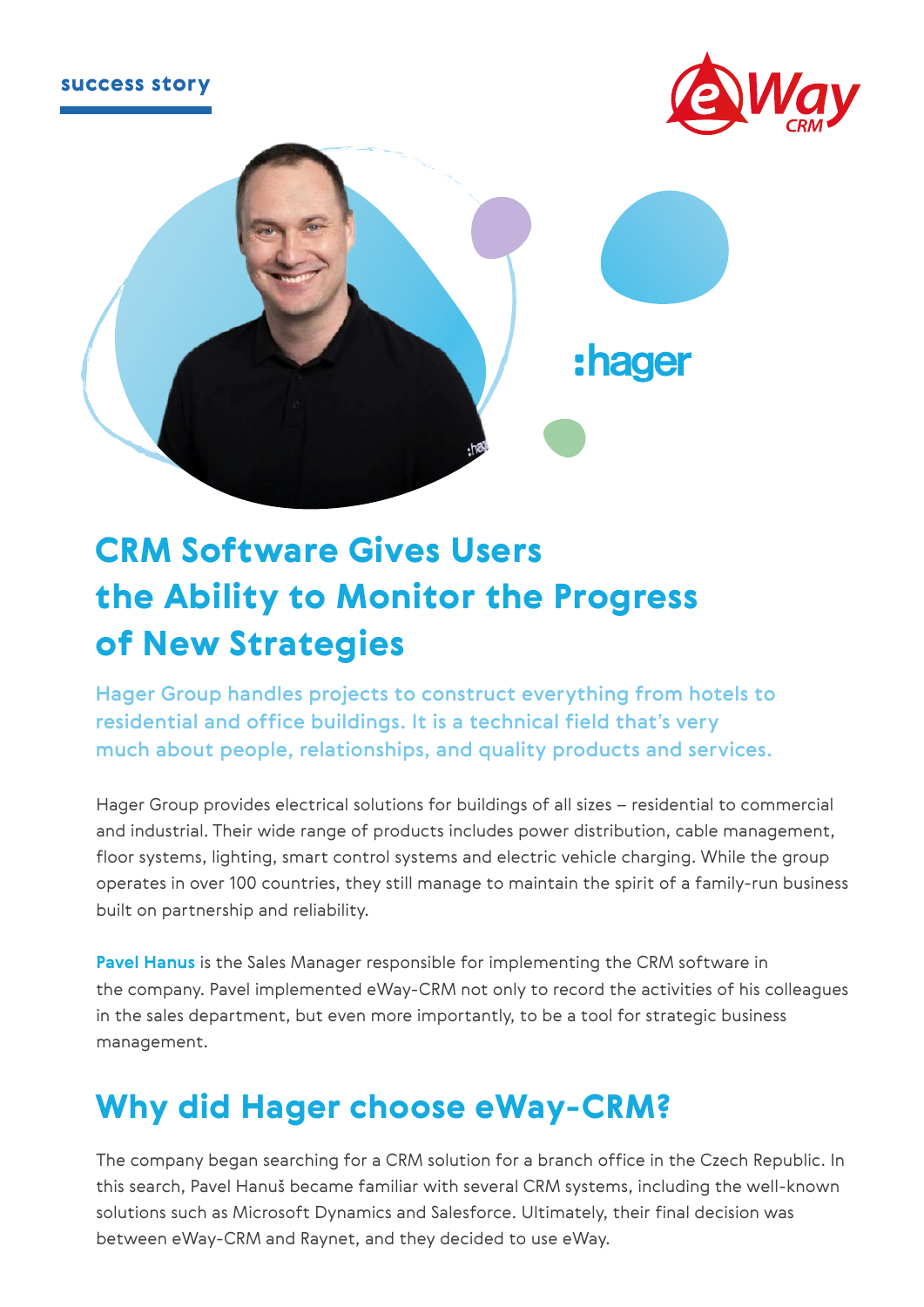



# CRM Software Gives Users the Ability to Monitor the Progress of New Strategies

Hager Group handles projects to construct everything from hotels to residential and office buildings. It is a technical field that's very much about people, relationships, and quality products and services.

Hager Group provides electrical solutions for buildings of all sizes – residential to commercial and industrial. Their wide range of products includes power distribution, cable management, floor systems, lighting, smart control systems and electric vehicle charging. While the group operates in over 100 countries, they still manage to maintain the spirit of a family-run business built on partnership and reliability.

**Pavel Hanus** is the Sales Manager responsible for implementing the CRM software in the company. Pavel implemented eWay-CRM not only to record the activities of his colleagues in the sales department, but even more importantly, to be a tool for strategic business management.

### Why did Hager choose eWay-CRM?

The company began searching for a CRM solution for a branch office in the Czech Republic. In this search, Pavel Hanuš became familiar with several CRM systems, including the well-known solutions such as Microsoft Dynamics and Salesforce. Ultimately, their final decision was between eWay-CRM and Raynet, and they decided to use eWay.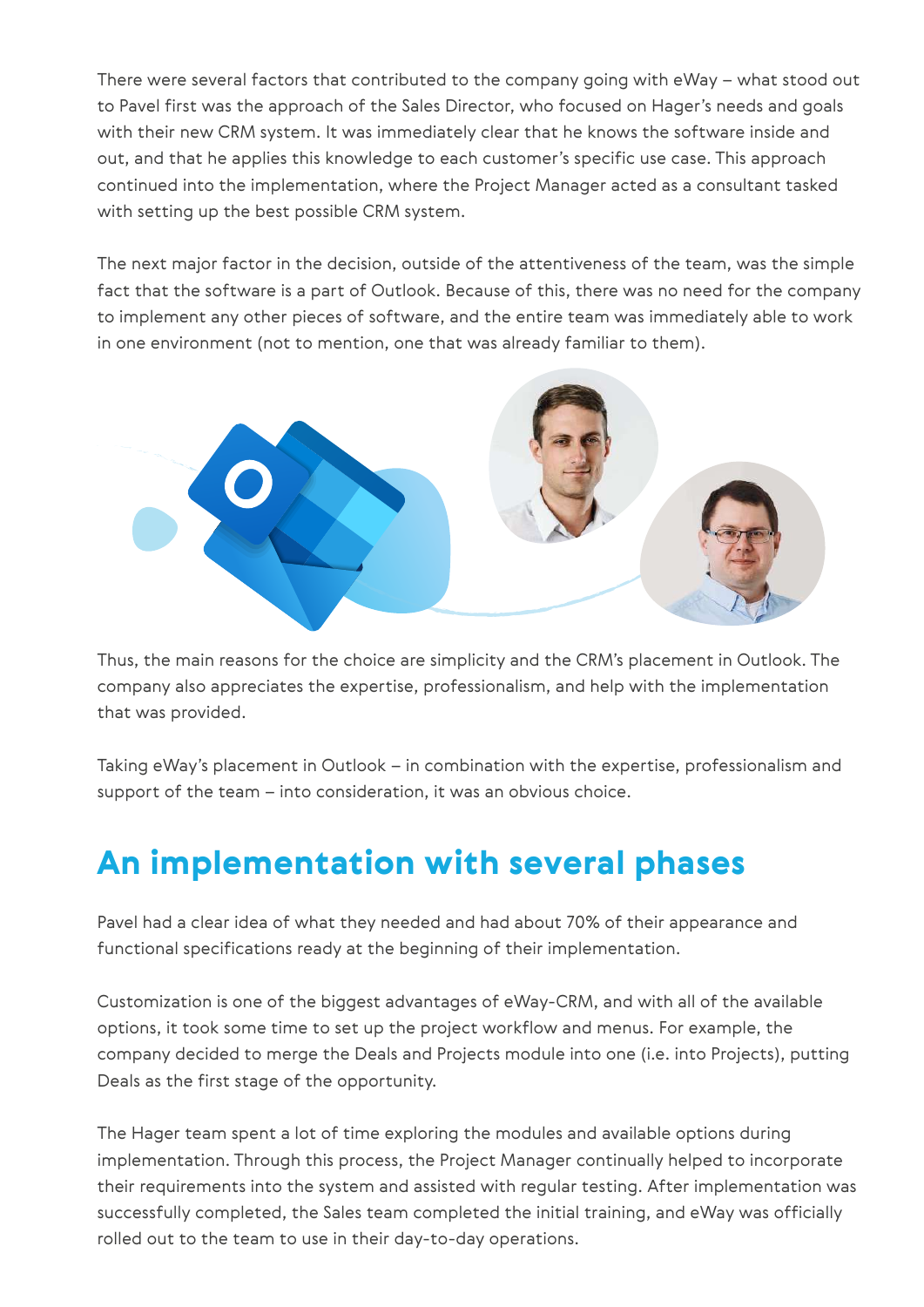There were several factors that contributed to the company going with eWay – what stood out to Pavel first was the approach of the Sales Director, who focused on Hager's needs and goals with their new CRM system. It was immediately clear that he knows the software inside and out, and that he applies this knowledge to each customer's specific use case. This approach continued into the implementation, where the Project Manager acted as a consultant tasked with setting up the best possible CRM system.

The next major factor in the decision, outside of the attentiveness of the team, was the simple fact that the software is a part of Outlook. Because of this, there was no need for the company to implement any other pieces of software, and the entire team was immediately able to work in one environment (not to mention, one that was already familiar to them).



Thus, the main reasons for the choice are simplicity and the CRM's placement in Outlook. The company also appreciates the expertise, professionalism, and help with the implementation that was provided.

Taking eWay's placement in Outlook – in combination with the expertise, professionalism and support of the team – into consideration, it was an obvious choice.

### An implementation with several phases

Pavel had a clear idea of what they needed and had about 70% of their appearance and functional specifications ready at the beginning of their implementation.

Customization is one of the biggest advantages of eWay-CRM, and with all of the available options, it took some time to set up the project workflow and menus. For example, the company decided to merge the Deals and Projects module into one (i.e. into Projects), putting Deals as the first stage of the opportunity.

The Hager team spent a lot of time exploring the modules and available options during implementation. Through this process, the Project Manager continually helped to incorporate their requirements into the system and assisted with regular testing. After implementation was successfully completed, the Sales team completed the initial training, and eWay was officially rolled out to the team to use in their day-to-day operations.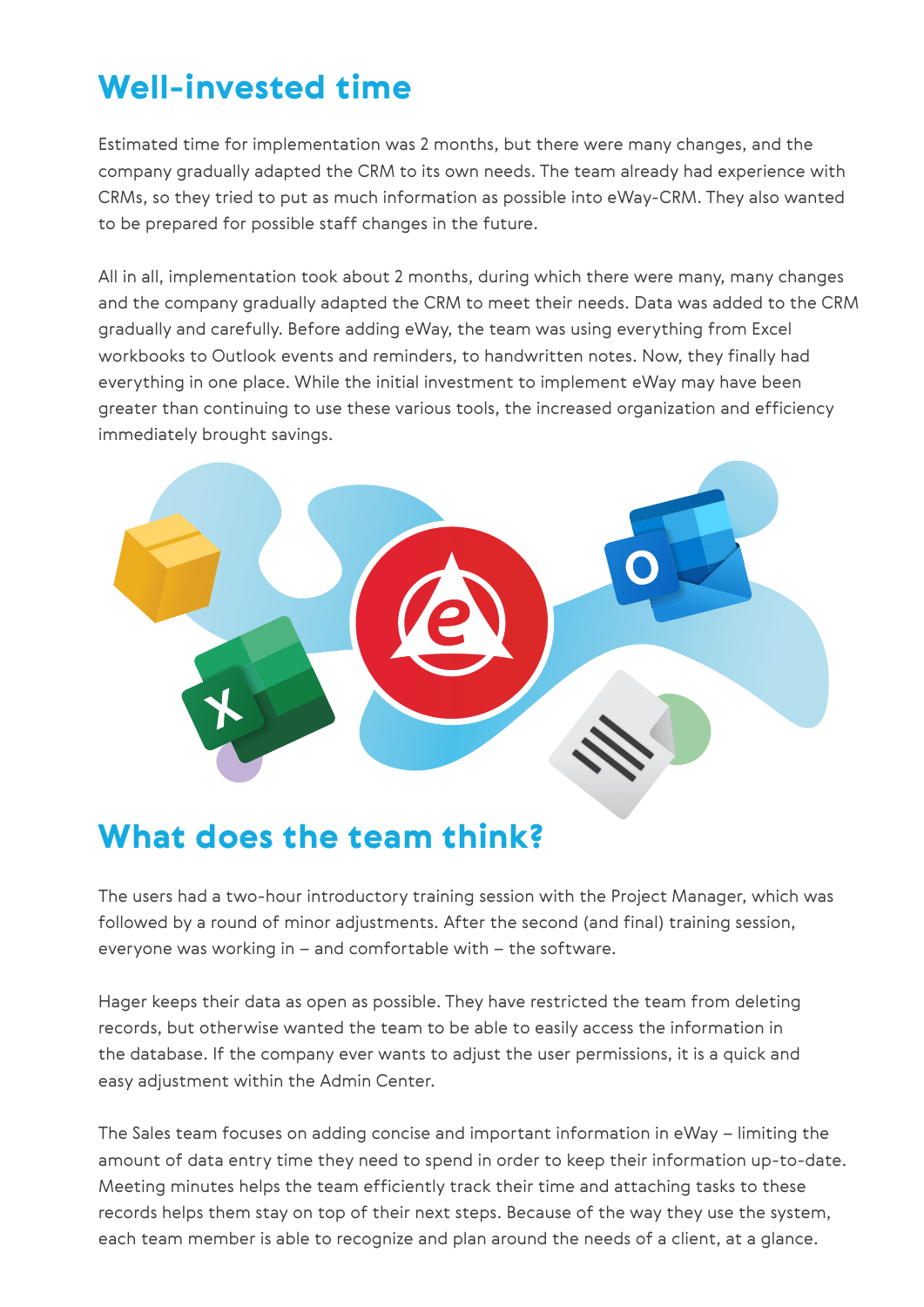## Well-invested time

Estimated time for implementation was 2 months, but there were many changes, and the company gradually adapted the CRM to its own needs. The team already had experience with CRMs, so they tried to put as much information as possible into eWay-CRM. They also wanted to be prepared for possible staff changes in the future.

All in all, implementation took about 2 months, during which there were many, many changes and the company gradually adapted the CRM to meet their needs. Data was added to the CRM gradually and carefully. Before adding eWay, the team was using everything from Excel workbooks to Outlook events and reminders, to handwritten notes. Now, they finally had everything in one place. While the initial investment to implement eWay may have been greater than continuing to use these various tools, the increased organization and efficiency immediately brought savings.



#### What does the team think?

The users had a two-hour introductory training session with the Project Manager, which was followed by a round of minor adjustments. After the second (and final) training session, everyone was working in – and comfortable with – the software.

Hager keeps their data as open as possible. They have restricted the team from deleting records, but otherwise wanted the team to be able to easily access the information in the database. If the company ever wants to adjust the user permissions, it is a quick and easy adjustment within the Admin Center.

The Sales team focuses on adding concise and important information in eWay – limiting the amount of data entry time they need to spend in order to keep their information up-to-date. Meeting minutes helps the team efficiently track their time and attaching tasks to these records helps them stay on top of their next steps. Because of the way they use the system, each team member is able to recognize and plan around the needs of a client, at a glance.